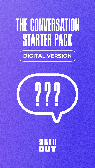# THE CONVERSATION **STARTER PACK DIGITAL VERSION**



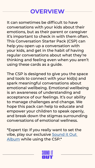#### **OVERVIEW**

It can sometimes be difficult to have conversations with your kids about their emotions, but as their parent or caregiver it's important to check in with them often. This Conversation Starter Pack (CSP) can help you open up a conversation with your kids, and get in the habit of having regular conversations about what they're thinking and feeling even when you aren't using these cards as a guide.

The CSP is designed to give you the space and tools to connect with your kid(s) and spark meaningful conversations about emotional wellbeing. Emotional wellbeing is an awareness of understanding and acceptance of our feelings. It's our ability to manage challenges and change. We hope this pack can help to educate and empower your children to speak openly, and break down the stigmas surrounding conversations of emotional wellness.

\*Expert tip: If you really want to set the vibe, play our exclusive [Sound it Out](https://sounditouttogether.org/album)  [Album](https://sounditouttogether.org/album) while using the CSP.\*

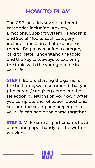#### **HOW TO PLAY**

The CSP includes several different categories including: Anxiety, Emotions, Support System, Friendship and Social Media. Each category includes questions that explore each theme. Begin by reading a category card to better understand the topic and the key takeaways to exploring the topic with the young people in your life.

**STEP 1:** Before starting the game for the first time, we recommend that you (the parent/caregiver) complete the reflection questions on your own. After you complete the reflection questions, you and the young person/people in your life can begin the game together.

**STEP 2:** Make sure all participants have a pen and paper handy for the written activities.

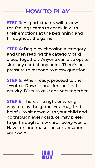#### **HOW TO PLAY**

**STEP 3:** All participants will review the feelings cards to check in with their emotions at the beginning and throughout the game.

**STEP 4:** Begin by choosing a category and then reading the category card aloud together. Anyone can also opt to skip any card at any point. There's no pressure to respond to every question.

**STEP 5:** When ready, proceed to the "Write it Down" cards for the final activity. Discuss your answers together.

**STEP 6:** There's no right or wrong way to play the game. You may find it helpful to sit down with your child and go through every card, or may prefer to go through a few cards every week. Have fun and make the conversation your own!

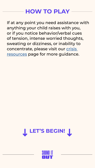#### **HOW TO PLAY**

If at any point you need assistance with anything your child raises with you, or if you notice behavior/verbal cues of tension, intense worried thoughts, sweating or dizziness, or inability to concentrate, please visit our [crisis](https://sounditouttogether.org/guides/basics/reaching-out-for-help)  [resources](https://sounditouttogether.org/guides/basics/reaching-out-for-help) page for more guidance.



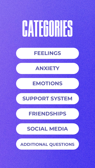# <span id="page-5-0"></span>**CATEGORIES**

#### **[FEELINGS](#page-6-0)**

#### **[ANXIETY](#page-13-0)**

#### **[EMOTIONS](#page-17-0)**

#### **[SUPPORT SYSTEM](#page-23-0)**

#### **[FRIENDSHIPS](#page-27-0)**

#### **[SOCIAL MEDIA](#page-31-0)**

**[ADDITIONAL QUESTIONS](#page-35-0)**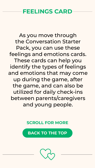#### <span id="page-6-0"></span>**FEELINGS CARD**

As you move through the Conversation Starter Pack, you can use these feelings and emotions cards. These cards can help you identify the types of feelings and emotions that may come up during the game, after the game, and can also be utilized for daily check-ins between parents/caregivers and young people.

**SCROLL FOR MORE**

**[BACK TO THE TOP](#page-5-0)**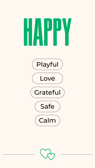

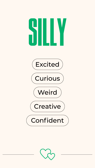# Silly









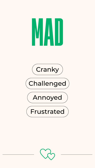# MAD



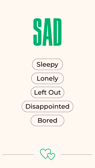

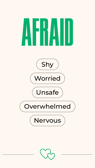

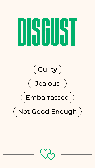

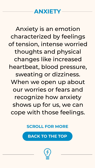

<span id="page-13-0"></span>Anxiety is an emotion characterized by feelings of tension, intense worried thoughts and physical changes like increased heartbeat, blood pressure, sweating or dizziness. When we open up about our worries or fears and recognize how anxiety shows up for us, we can cope with those feelings.

**SCROLL FOR MORE**

**[BACK TO THE TOP](#page-5-0)**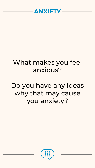

# What makes you feel anxious?

# Do you have any ideas why that may cause you anxiety?

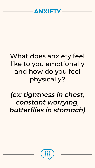

# What does anxiety feel like to you emotionally and how do you feel physically?

# *(ex: tightness in chest, constant worrying, butterflies in stomach)*

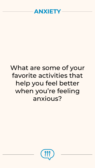

# What are some of your favorite activities that help you feel better when you're feeling anxious?

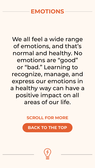#### <span id="page-17-0"></span>**EMOTIONS**

We all feel a wide range of emotions, and that's normal and healthy. No emotions are "good" or "bad." Learning to recognize, manage, and express our emotions in a healthy way can have a positive impact on all areas of our life.

**SCROLL FOR MORE**

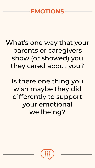#### **EMOTIONS**

# What's one way that your parents or caregivers show (or showed) you they cared about you?

Is there one thing you wish maybe they did differently to support your emotional wellbeing?

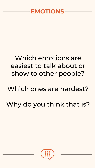

# Which emotions are easiest to talk about or show to other people?

# Which ones are hardest?

# Why do you think that is?

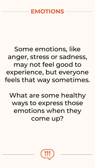#### **EMOTIONS**

# Some emotions, like anger, stress or sadness, may not feel good to experience, but everyone feels that way sometimes.

# What are some healthy ways to express those emotions when they come up?

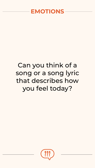

# Can you think of a song or a song lyric that describes how you feel today?

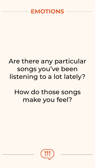

# Are there any particular songs you've been listening to a lot lately?

# How do those songs make you feel?

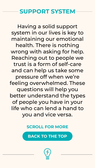#### <span id="page-23-0"></span>**SUPPORT SYSTEM**

Having a solid support system in our lives is key to maintaining our emotional health. There is nothing wrong with asking for help. Reaching out to people we trust is a form of self-care and can help us take some pressure off when we're feeling overwhelmed. These questions will help you better understand the types of people you have in your life who can lend a hand to you and vice versa.

#### **SCROLL FOR MORE**

**[BACK TO THE TOP](#page-5-0)**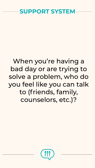

# When you're having a bad day or are trying to solve a problem, who do you feel like you can talk to (friends, family, counselors, etc.)?

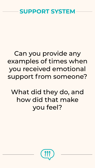

# Can you provide any examples of times when you received emotional support from someone?

What did they do, and how did that make you feel?

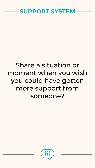

# Share a situation or moment when you wish you could have gotten more support from someone?

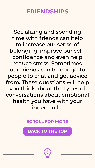#### <span id="page-27-0"></span>**FRIENDSHIPS**

Socializing and spending time with friends can help to increase our sense of belonging, improve our selfconfidence and even help reduce stress. Sometimes our friends can be our go-to people to chat and get advice from. These questions will help you think about the types of conversations about emotional health you have with your inner circle.

**SCROLL FOR MORE**

**[BACK TO THE TOP](#page-5-0)**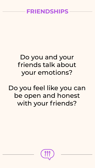#### **FRIENDSHIPS**

# Do you and your friends talk about your emotions?

# Do you feel like you can be open and honest with your friends?

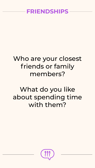#### **FRIENDSHIPS**

# Who are your closest friends or family members?

# What do you like about spending time with them?

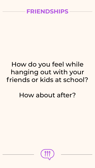# How do you feel while hanging out with your friends or kids at school?

# How about after?

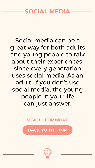#### <span id="page-31-0"></span>**SOCIAL MEDIA**

Social media can be a great way for both adults and young people to talk about their experiences, since every generation uses social media. As an adult, if you don't use social media, the young people in your life can just answer.

**SCROLL FOR MORE**

**[BACK TO THE TOP](#page-5-0)**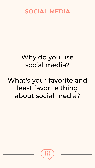

# Why do you use social media?

# What's your favorite and least favorite thing about social media?

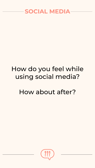

# How do you feel while using social media?

# How about after?

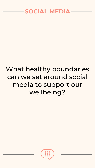

# What healthy boundaries can we set around social media to support our wellbeing?

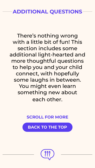<span id="page-35-0"></span>There's nothing wrong with a little bit of fun! This section includes some additional light-hearted and more thoughtful questions to help you and your child connect, with hopefully some laughs in between. You might even learn something new about each other.

#### **SCROLL FOR MORE**

**[BACK TO THE TOP](#page-5-0)**

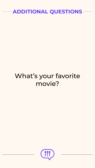

# What's your favorite movie?

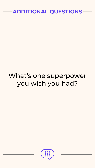

# What's one superpower you wish you had?

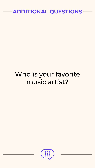# Who is your favorite music artist?

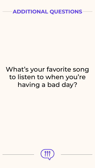

# What's your favorite song to listen to when you're having a bad day?

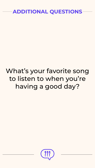

# What's your favorite song to listen to when you're having a good day?

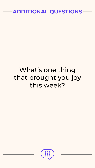# What's one thing that brought you joy this week?

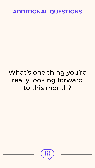# What's one thing you're really looking forward to this month?

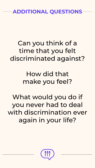# Can you think of a time that you felt discriminated against?

How did that make you feel?

What would you do if you never had to deal with discrimination ever again in your life?

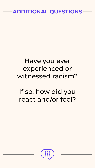

## Have you ever experienced or witnessed racism?

# If so, how did you react and/or feel?

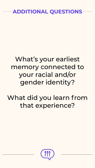# What's your earliest memory connected to your racial and/or gender identity?

# What did you learn from that experience?

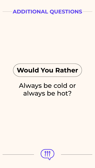



# Always be cold or always be hot?

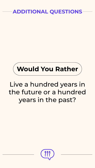

# Live a hundred years in the future or a hundred years in the past?

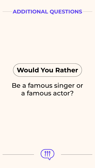



# Be a famous singer or a famous actor?

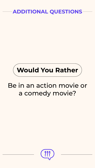



# Be in an action movie or a comedy movie?

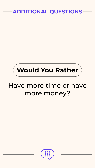



## Have more time or have more money?

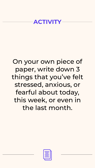#### **ACTIVITY**

# On your own piece of paper, write down 3 things that you've felt stressed, anxious, or fearful about today, this week, or even in the last month.